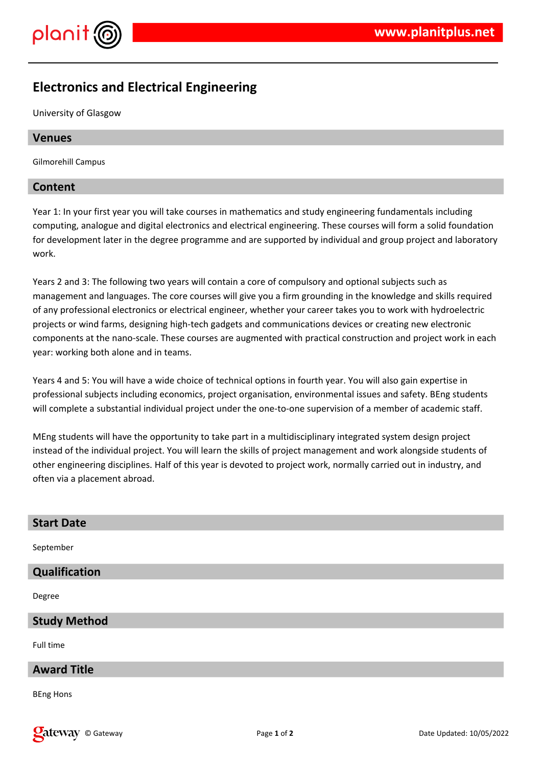

# **Electronics and Electrical Engineering**

University of Glasgow

# **Venues**

Gilmorehill Campus

# **Content**

Year 1: In your first year you will take courses in mathematics and study engineering fundamentals including computing, analogue and digital electronics and electrical engineering. These courses will form a solid foundation for development later in the degree programme and are supported by individual and group project and laboratory work.

Years 2 and 3: The following two years will contain a core of compulsory and optional subjects such as management and languages. The core courses will give you a firm grounding in the knowledge and skills required of any professional electronics or electrical engineer, whether your career takes you to work with hydroelectric projects or wind farms, designing high-tech gadgets and communications devices or creating new electronic components at the nano-scale. These courses are augmented with practical construction and project work in each year: working both alone and in teams.

Years 4 and 5: You will have a wide choice of technical options in fourth year. You will also gain expertise in professional subjects including economics, project organisation, environmental issues and safety. BEng students will complete a substantial individual project under the one-to-one supervision of a member of academic staff.

MEng students will have the opportunity to take part in a multidisciplinary integrated system design project instead of the individual project. You will learn the skills of project management and work alongside students of other engineering disciplines. Half of this year is devoted to project work, normally carried out in industry, and often via a placement abroad.

| <b>Start Date</b>    |
|----------------------|
| September            |
| <b>Qualification</b> |
| Degree               |
| <b>Study Method</b>  |
| Full time            |
| <b>Award Title</b>   |
| <b>BEng Hons</b>     |